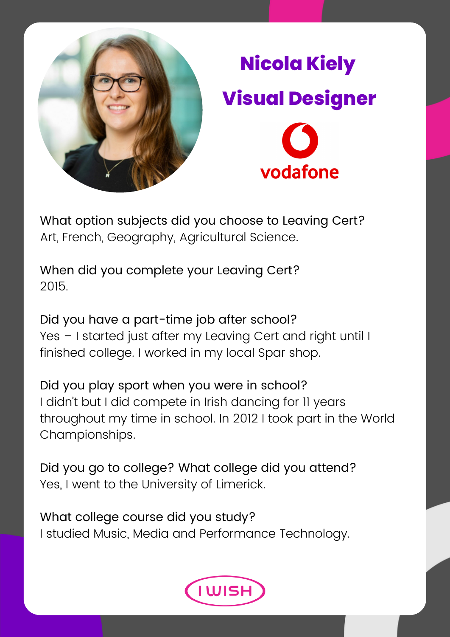

## **Nicola Kiely Visual Designer**vodafone

What option subjects did you choose to Leaving Cert? Art, French, Geography, Agricultural Science.

When did you complete your Leaving Cert? 2015.

Did you have a part-time job after school? Yes – I started just after my Leaving Cert and right until I finished college. I worked in my local Spar shop.

Did you play sport when you were in school? I didn't but I did compete in Irish dancing for 11 years throughout my time in school. In 2012 I took part in the World Championships.

Did you go to college? What college did you attend? Yes, I went to the University of Limerick.

What college course did you study? I studied Music, Media and Performance Technology.